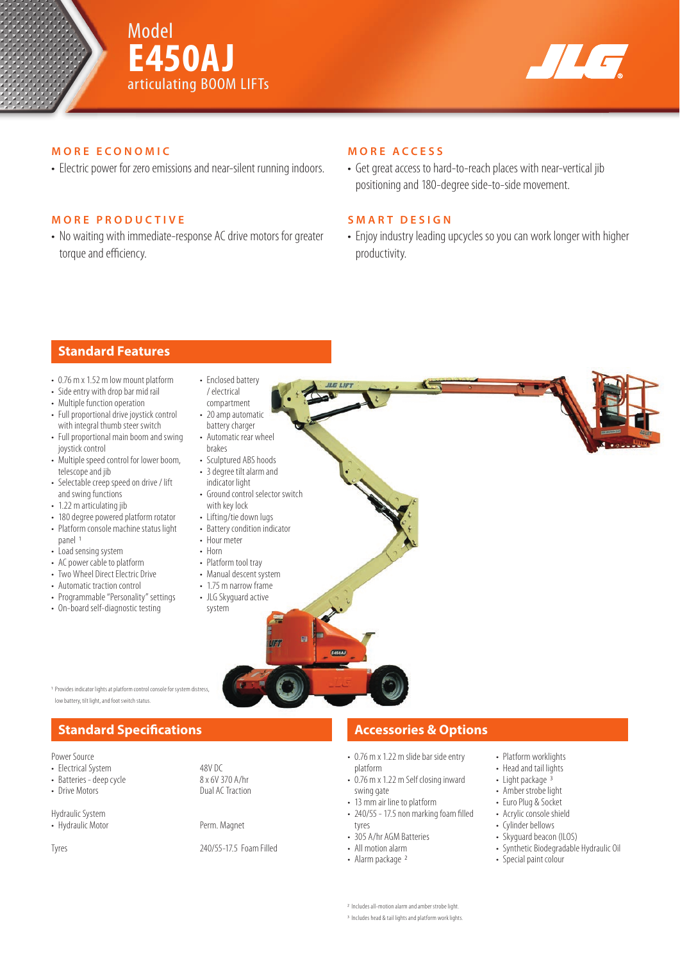



## **MORE ECONOMIC**

• Electric power for zero emissions and near-silent running indoors.

## **MORE PRODUCTIVE**

• No waiting with immediate-response AC drive motors for greater torque and efficiency.

### **MORE ACCESS**

• Get great access to hard-to-reach places with near-vertical jib positioning and 180-degree side-to-side movement.

## **SMART DESIGN**

• Enjoy industry leading upcycles so you can work longer with higher productivity.

# **Standard Features**

- 0.76 m x 1.52 m low mount platform
- Side entry with drop bar mid rail
- Multiple function operation
- Full proportional drive joystick control with integral thumb steer switch
- Full proportional main boom and swing joystick control
- Multiple speed control for lower boom, telescope and jib
- Selectable creep speed on drive / lift and swing functions
- 1.22 m articulating jib
- 180 degree powered platform rotator • Platform console machine status light
- panel 1
- Load sensing system
- AC power cable to platform • Two Wheel Direct Electric Drive
- 
- Automatic traction control • Programmable "Personality" settings
- On-board self-diagnostic testing

• 20 amp automatic battery charger • Automatic rear wheel brakes

• Enclosed battery / electrical compartment

- Sculptured ABS hoods
- 3 degree tilt alarm and indicator light
- Ground control selector switch with key lock
- Lifting/tie down lugs
- Battery condition indicator
- Hour meter
- Horn
- Platform tool tray
- Manual descent system
- 
- 

Dual AC Traction



Provides indicator lights at platform control console for system distres

# low battery, tilt light, and foot switch status.

# **Standard Specifications Accessories & Options**

Power Source

- Electrical System 48V DC<br>• Batteries deep cycle 6 48 × 6V 370 A/hr
- Batteries deep cycle<br>• Drive Motors
- 

Hydraulic System

• Hydraulic Motor Perm. Magnet

- 0.76 m x 1.22 m slide bar side entry platform
- 0.76 m x 1.22 m Self closing inward swing gate
- 13 mm air line to platform

• 305 A/hr AGM Batteries • All motion alarm • Alarm package 2

- $\cdot$  240/55 17.5 non marking foam filled tyres
- Tyres 240/55-17.5 Foam Filled
- Platform worklights • Head and tail lights
- Light package  $\frac{3}{3}$
- Amber strobe light • Euro Plug & Socket
- Acrylic console shield
- Cylinder bellows
- Skyguard beacon (ILOS)
- Synthetic Biodegradable Hydraulic Oil
- Special paint colour

2 Includes all-motion alarm and amber strobe light.

3 Includes head & tail lights and platform work lights.